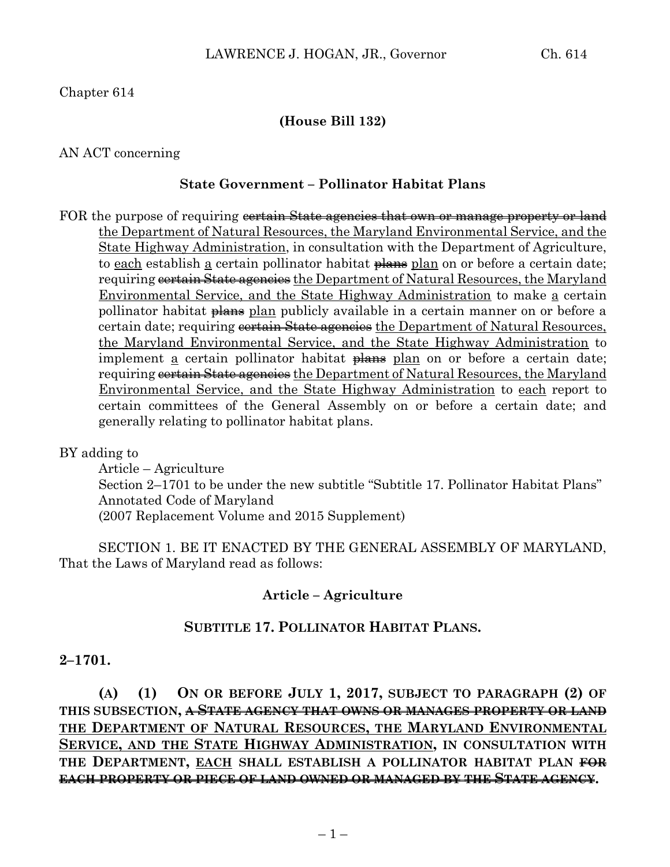# Chapter 614

## **(House Bill 132)**

### AN ACT concerning

## **State Government – Pollinator Habitat Plans**

FOR the purpose of requiring controlstrian state agencies that own or manage property or land the Department of Natural Resources, the Maryland Environmental Service, and the State Highway Administration, in consultation with the Department of Agriculture, to each establish a certain pollinator habitat plans plan on or before a certain date; requiring <del>certain State agencies</del> the Department of Natural Resources, the Maryland Environmental Service, and the State Highway Administration to make a certain pollinator habitat plans plan publicly available in a certain manner on or before a certain date; requiring certain State agencies the Department of Natural Resources, the Maryland Environmental Service, and the State Highway Administration to implement a certain pollinator habitat plans plan on or before a certain date; requiring cortain State agencies the Department of Natural Resources, the Maryland Environmental Service, and the State Highway Administration to each report to certain committees of the General Assembly on or before a certain date; and generally relating to pollinator habitat plans.

### BY adding to

Article – Agriculture Section 2–1701 to be under the new subtitle "Subtitle 17. Pollinator Habitat Plans" Annotated Code of Maryland (2007 Replacement Volume and 2015 Supplement)

SECTION 1. BE IT ENACTED BY THE GENERAL ASSEMBLY OF MARYLAND, That the Laws of Maryland read as follows:

#### **Article – Agriculture**

### **SUBTITLE 17. POLLINATOR HABITAT PLANS.**

#### **2–1701.**

**(A) (1) ON OR BEFORE JULY 1, 2017, SUBJECT TO PARAGRAPH (2) OF THIS SUBSECTION, A STATE AGENCY THAT OWNS OR MANAGES PROPERTY OR LAND THE DEPARTMENT OF NATURAL RESOURCES, THE MARYLAND ENVIRONMENTAL SERVICE, AND THE STATE HIGHWAY ADMINISTRATION, IN CONSULTATION WITH THE DEPARTMENT, EACH SHALL ESTABLISH A POLLINATOR HABITAT PLAN FOR EACH PROPERTY OR PIECE OF LAND OWNED OR MANAGED BY THE STATE AGENCY.**